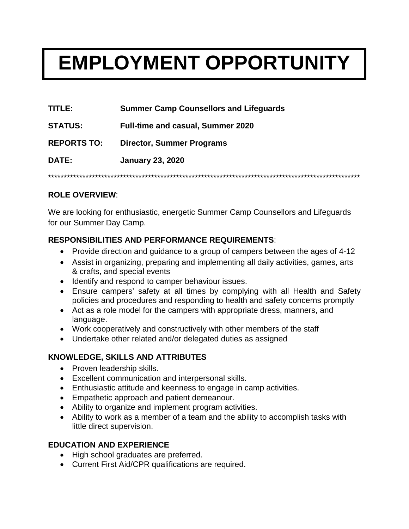# **EMPLOYMENT OPPORTUNITY**

**TITLE: Summer Camp Counsellors and Lifeguards**

**STATUS: Full-time and casual, Summer 2020**

**REPORTS TO: Director, Summer Programs**

**DATE: January 23, 2020**

\*\*\*\*\*\*\*\*\*\*\*\*\*\*\*\*\*\*\*\*\*\*\*\*\*\*\*\*\*\*\*\*\*\*\*\*\*\*\*\*\*\*\*\*\*\*\*\*\*\*\*\*\*\*\*\*\*\*\*\*\*\*\*\*\*\*\*\*\*\*\*\*\*\*\*\*\*\*\*\*\*\*\*\*\*\*\*\*\*\*\*\*\*\*\*\*\*\*\*\*

### **ROLE OVERVIEW**:

We are looking for enthusiastic, energetic Summer Camp Counsellors and Lifeguards for our Summer Day Camp.

### **RESPONSIBILITIES AND PERFORMANCE REQUIREMENTS**:

- Provide direction and guidance to a group of campers between the ages of 4-12
- Assist in organizing, preparing and implementing all daily activities, games, arts & crafts, and special events
- Identify and respond to camper behaviour issues.
- Ensure campers' safety at all times by complying with all Health and Safety policies and procedures and responding to health and safety concerns promptly
- Act as a role model for the campers with appropriate dress, manners, and language.
- Work cooperatively and constructively with other members of the staff
- Undertake other related and/or delegated duties as assigned

# **KNOWLEDGE, SKILLS AND ATTRIBUTES**

- Proven leadership skills.
- Excellent communication and interpersonal skills.
- Enthusiastic attitude and keenness to engage in camp activities.
- Empathetic approach and patient demeanour.
- Ability to organize and implement program activities.
- Ability to work as a member of a team and the ability to accomplish tasks with little direct supervision.

# **EDUCATION AND EXPERIENCE**

- High school graduates are preferred.
- Current First Aid/CPR qualifications are required.